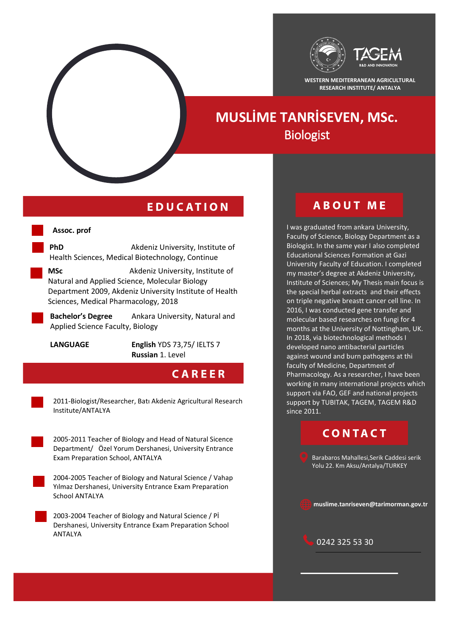

**WESTERN MEDITERRANEAN AGRICULTURAL RESEARCH INSTITUTE/ ANTALYA**

# **MUSLİME TANRİSEVEN, MSc.** Biologist

### **EDUCATION**

#### **Assoc. prof**

**PhD** Akdeniz University, Institute of Health Sciences, Medical Biotechnology, Continue

**MSc** Akdeniz University, Institute of Natural and Applied Science, Molecular Biology Department 2009, Akdeniz University Institute of Health Sciences, Medical Pharmacology, 2018

Bachelor's Degree 2009-2011 **Bachelor's Degree** Ankara University, Natural and Applied Science Faculty, Biology

**LANGUAGE English** YDS 73,75/ IELTS 7 **Russian** 1. Level

### **CAREER**

2011‐Biologist/Researcher, Batı Akdeniz Agricultural Research Institute/ANTALYA

2005-2011 Teacher of Biology and Head of Natural Sicence Department/ Özel Yorum Dershanesi, University Entrance Exam Preparation School, ANTALYA

2004-2005 Teacher of Biology and Natural Science / Vahap Yılmaz Dershanesi, University Entrance Exam Preparation School ANTALYA

2003-2004 Teacher of Biology and Natural Science / Pİ Dershanesi, University Entrance Exam Preparation School ANTALYA

### **ABOUT ME**

I was graduated from ankara University, Faculty of Science, Biology Department as a Biologist. In the same year I also completed Educational Sciences Formation at Gazi University Faculty of Education. I completed my master's degree at Akdeniz University, Institute of Sciences; My Thesis main focus is the special herbal extracts and their effects on triple negative breastt cancer cell line. In 2016, I was conducted gene transfer and molecular based researches on fungi for 4 months at the University of Nottingham, UK. In 2018, via biotechnological methods I developed nano antibacterial particles against wound and burn pathogens at thi faculty of Medicine, Department of Pharmacology. As a researcher, I have been working in many international projects which support via FAO, GEF and national projects support by TUBITAK, TAGEM, TAGEM R&D since 2011.

## **CONTACT**

Barabaros Mahallesi,Serik Caddesi serik Yolu 22. Km Aksu/Antalya/TURKEY

**muslime.tanriseven@tarimorman.gov.tr**

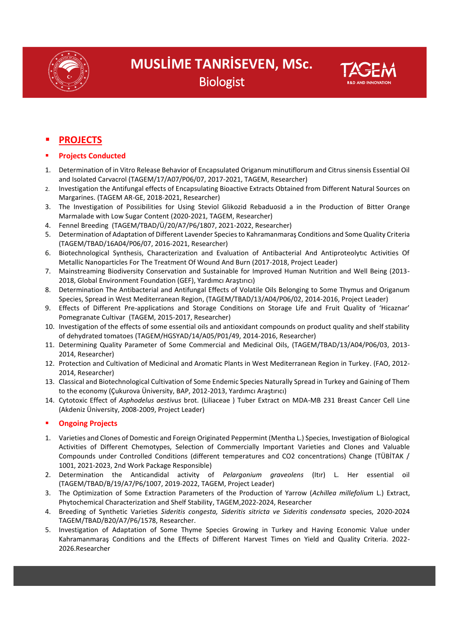



### **Projects Conducted**

- 1. Determination of in Vitro Release Behavior of Encapsulated Origanum minutiflorum and Citrus sinensis Essential Oil and Isolated Carvacrol (TAGEM/17/A07/P06/07, 2017-2021, TAGEM, Researcher)
- 2. Investigation the Antifungal effects of Encapsulating Bioactive Extracts Obtained from Different Natural Sources on Margarines. (TAGEM AR-GE, 2018-2021, Researcher)
- 3. [The Investigation of Possibilities for Using Steviol Glikozid Rebaduosid a in the Production](../Downloads/ARAŞTIRMACILAR/Demet%20Yıldız%20Turgut/Düşük%20Şeker%20İçerikli%20Turunç) of Bitter Orange [Marmalade with Low Sugar Content \(](../Downloads/ARAŞTIRMACILAR/Demet%20Yıldız%20Turgut/Düşük%20Şeker%20İçerikli%20Turunç)2020-2021, TAGEM, Researcher)
- 4. Fennel Breeding (TAGEM/TBAD/Ü/20/A7/P6/1807, 2021-2022, Researcher)
- 5. Determination of Adaptation of Different Lavender Species to Kahramanmaraş Conditions and Some Quality Criteria (TAGEM/TBAD/16A04/P06/07, 2016-2021, Researcher)
- 6. Biotechnological Synthesis, Characterization and Evaluation of Antibacterial And Antiproteolytıc Activities Of Metallic Nanoparticles For The Treatment Of Wound And Burn (2017-2018, Project Leader)
- 7. Mainstreaming Biodiversity Conservation and Sustainable for Improved Human Nutrition and Well Being (2013- 2018, Global Environment Foundation (GEF), Yardımcı Araştırıcı)
- 8. Determination The Antibacterial and Antifungal Effects of Volatile Oils Belonging to Some Thymus and Origanum Species, Spread in West Mediterranean Region, (TAGEM/TBAD/13/A04/P06/02, 2014-2016, Project Leader)
- 9. Effects of Different Pre-applications and Storage Conditions on Storage Life and Fruit Quality of 'Hicaznar' Pomegranate Cultivar (TAGEM, 2015-2017, Researcher)
- 10. Investigation of the effects of some essential oils and antioxidant compounds on product quality and shelf stability of dehydrated tomatoes (TAGEM/HGSYAD/14/A05/P01/49, 2014-2016, Researcher)
- 11. Determining Quality Parameter of Some Commercial and Medicinal Oils, (TAGEM/TBAD/13/A04/P06/03, 2013- 2014, Researcher)
- 12. Protection and Cultivation of Medicinal and Aromatic Plants in West Mediterranean Region in Turkey. (FAO, 2012- 2014, Researcher)
- 13. Classical and Biotechnological Cultivation of Some Endemic Species Naturally Spread in Turkey and Gaining of Them to the economy (Çukurova Üniversity, BAP, 2012-2013, Yardımcı Araştırıcı)
- 14. Cytotoxic Effect of *Asphodelus aestivus* brot. (Liliaceae ) Tuber Extract on MDA-MB 231 Breast Cancer Cell Line (Akdeniz Üniversity, 2008-2009, Project Leader)

#### **Ongoing Projects**

- 1. Varieties and Clones of Domestic and Foreign Originated Peppermint (Mentha L.) Species, Investigation of Biological Activities of Different Chemotypes, Selection of Commercially Important Varieties and Clones and Valuable Compounds under Controlled Conditions (different temperatures and CO2 concentrations) Change (TÜBİTAK / 1001, 2021-2023, 2nd Work Package Responsible)
- 2. Determination the Anticandidal activity of *Pelargonium graveolens* (Itır) L. Her essential oil (TAGEM/TBAD/B/19/A7/P6/1007, 2019-2022, TAGEM, Project Leader)
- 3. The Optimization of Some Extraction Parameters of the Production of Yarrow (*Achillea millefolium* L.) Extract, Phytochemical Characterization and Shelf Stability, TAGEM,2022-2024, Researcher
- 4. Breeding of Synthetic Varieties *Sideritis congesta, Sideritis sitricta ve Sideritis condensata* species, 2020-2024 TAGEM/TBAD/B20/A7/P6/1578, Researcher.
- 5. Investigation of Adaptation of Some Thyme Species Growing in Turkey and Having Economic Value under Kahramanmaraş Conditions and the Effects of Different Harvest Times on Yield and Quality Criteria. 2022- 2026.Researcher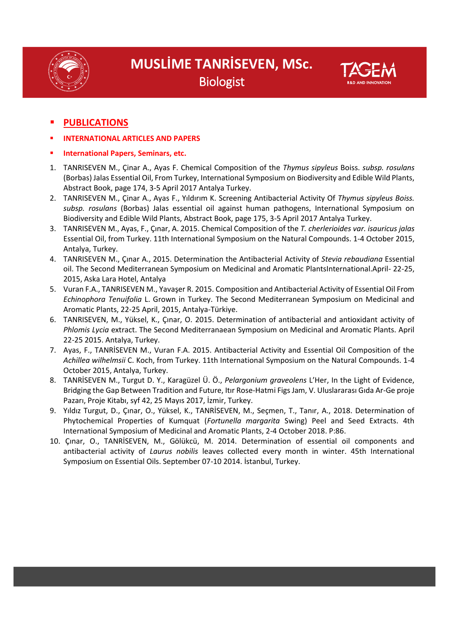



### **PUBLICATIONS**

- **INTERNATIONAL ARTICLES AND PAPERS**
- **International Papers, Seminars, etc.**
- 1. TANRISEVEN M., Çinar A., Ayas F. Chemical Composition of the *Thymus sipyleus* Boiss. *subsp. rosulans* (Borbas) Jalas Essential Oil, From Turkey, International Symposium on Biodiversity and Edible Wild Plants, Abstract Book, page 174, 3-5 April 2017 Antalya Turkey.
- 2. TANRISEVEN M., Çinar A., Ayas F., Yıldırım K. Screening Antibacterial Activity Of *Thymus sipyleus Boiss. subsp. rosulans* (Borbas) Jalas essential oil against human pathogens, International Symposium on Biodiversity and Edible Wild Plants, Abstract Book, page 175, 3-5 April 2017 Antalya Turkey.
- 3. TANRISEVEN M., Ayas, F., Çınar, A. 2015. Chemical Composition of the *T. cherlerioides var. isauricus jalas* Essential Oil, from Turkey. 11th International Symposium on the Natural Compounds. 1-4 October 2015, Antalya, Turkey.
- 4. TANRISEVEN M., Çınar A., 2015. Determination the Antibacterial Activity of *Stevia rebaudiana* Essential oil. The Second Mediterranean Symposium on Medicinal and Aromatic PlantsInternational.April- 22-25, 2015, Aska Lara Hotel, Antalya
- 5. Vuran F.A., TANRISEVEN M., Yavaşer R. 2015. Composition and Antibacterial Activity of Essential Oil From *Echinophora Tenuifolia* L. Grown in Turkey. The Second Mediterranean Symposium on Medicinal and Aromatic Plants, 22-25 April, 2015, Antalya-Türkiye.
- 6. TANRISEVEN, M., Yüksel, K., Çınar, O. 2015. Determination of antibacterial and antioxidant activity of *Phlomis Lycia* extract. The Second Mediterranaean Symposium on Medicinal and Aromatic Plants. April 22-25 2015. Antalya, Turkey.
- 7. Ayas, F., TANRİSEVEN M., Vuran F.A. 2015. Antibacterial Activity and Essential Oil Composition of the *Achillea wilhelmsii* C. Koch, from Turkey. 11th International Symposium on the Natural Compounds. 1-4 October 2015, Antalya, Turkey.
- 8. TANRİSEVEN M., Turgut D. Y., Karagüzel Ü. Ö., *Pelargonium graveolens* L'Her, In the Light of Evidence, Bridging the Gap Between Tradition and Future, Itır Rose-Hatmi Figs Jam, V. Uluslararası Gıda Ar-Ge proje Pazarı, Proje Kitabı, syf 42, 25 Mayıs 2017, İzmir, Turkey.
- 9. Yıldız Turgut, D., Çınar, O., Yüksel, K., TANRİSEVEN, M., Seçmen, T., Tanır, A., 2018. Determination of Phytochemical Properties of Kumquat (*Fortunella margarita* Swing) Peel and Seed Extracts. 4th International Symposium of Medicinal and Aromatic Plants, 2-4 October 2018. P:86.
- 10. Çınar, O., TANRİSEVEN, M., Gölükcü, M. 2014. Determination of essential oil components and antibacterial activity of *Laurus nobilis* leaves collected every month in winter. 45th International Symposium on Essential Oils. September 07-10 2014. İstanbul, Turkey.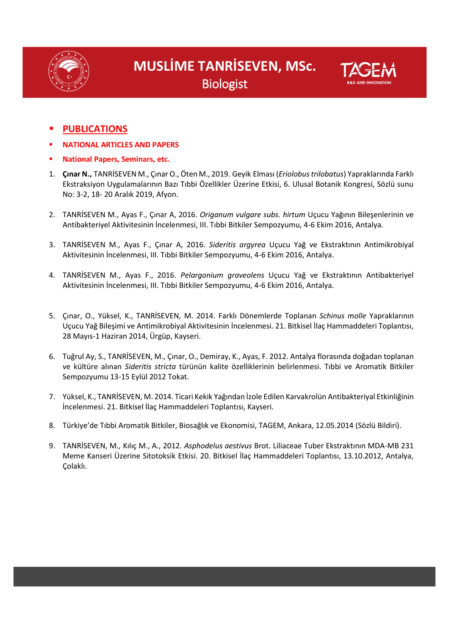





### **PUBLICATIONS**

- **NATIONAL ARTICLES AND PAPERS**
- **National Papers, Seminars, etc.**
- 1. **Çınar N.,** TANRİSEVEN M., Çınar O., Öten M., 2019. Geyik Elması (*Eriolobus trilobatus*) Yapraklarında Farklı Ekstraksiyon Uygulamalarının Bazı Tıbbi Özellikler Üzerine Etkisi, 6. Ulusal Botanik Kongresi, Sözlü sunu No: 3-2, 18- 20 Aralık 2019, Afyon.
- 2. TANRİSEVEN M., Ayas F., Çınar A, 2016. *Origanum vulgare subs. hirtum* Uçucu Yağının Bileşenlerinin ve Antibakteriyel Aktivitesinin İncelenmesi, III. Tıbbi Bitkiler Sempozyumu, 4-6 Ekim 2016, Antalya.
- 3. TANRİSEVEN M., Ayas F., Çınar A, 2016. *Sideritis argyrea* Uçucu Yağ ve Ekstraktının Antimikrobiyal Aktivitesinin İncelenmesi, III. Tıbbi Bitkiler Sempozyumu, 4-6 Ekim 2016, Antalya.
- 4. TANRİSEVEN M., Ayas F., 2016. *Pelargonium graveolens* Uçucu Yağ ve Ekstraktının Antibakteriyel Aktivitesinin İncelenmesi, III. Tıbbi Bitkiler Sempozyumu, 4-6 Ekim 2016, Antalya.
- 5. Çınar, O., Yüksel, K., TANRİSEVEN, M. 2014. Farklı Dönemlerde Toplanan *Schinus molle* Yapraklarının Uçucu Yağ Bileşimi ve Antimikrobiyal Aktivitesinin İncelenmesi. 21. Bitkisel İlaç Hammaddeleri Toplantısı, 28 Mayıs-1 Haziran 2014, Ürgüp, Kayseri.
- 6. Tuğrul Ay, S., TANRİSEVEN, M., Çınar, O., Demiray, K., Ayas, F. 2012. Antalya florasında doğadan toplanan ve kültüre alınan *Sideritis stricta* türünün kalite özelliklerinin belirlenmesi. Tıbbi ve Aromatik Bitkiler Sempozyumu 13-15 Eylül 2012 Tokat.
- 7. Yüksel, K., TANRİSEVEN, M. 2014. Ticari Kekik Yağından İzole Edilen Karvakrolün Antibakteriyal Etkinliğinin İncelenmesi. 21. Bitkisel İlaç Hammaddeleri Toplantısı, Kayseri.
- 8. Türkiye'de Tıbbi Aromatik Bitkiler, Biosağlık ve Ekonomisi, TAGEM, Ankara, 12.05.2014 (Sözlü Bildiri).
- 9. TANRİSEVEN, M*.,* Kılıç M., A., 2012*. Asphodelus aestivus* Brot. Liliaceae Tuber Ekstraktının MDA-MB 231 Meme Kanseri Üzerine Sitotoksik Etkisi. 20. Bitkisel İlaç Hammaddeleri Toplantısı, 13.10.2012, Antalya, Çolaklı.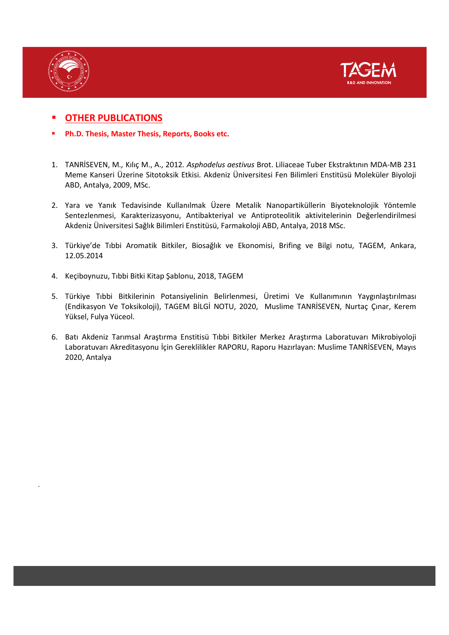

.



### **OTHER PUBLICATIONS**

- **Ph.D. Thesis, Master Thesis, Reports, Books etc.**
- 1. TANRİSEVEN, M*.,* Kılıç M., A., 2012*. Asphodelus aestivus* Brot. Liliaceae Tuber Ekstraktının MDA-MB 231 Meme Kanseri Üzerine Sitotoksik Etkisi. Akdeniz Üniversitesi Fen Bilimleri Enstitüsü Moleküler Biyoloji ABD, Antalya, 2009, MSc.
- 2. Yara ve Yanık Tedavisinde Kullanılmak Üzere Metalik Nanopartiküllerin Biyoteknolojik Yöntemle Sentezlenmesi, Karakterizasyonu, Antibakteriyal ve Antiproteolitik aktivitelerinin Değerlendirilmesi Akdeniz Üniversitesi Sağlık Bilimleri Enstitüsü, Farmakoloji ABD, Antalya, 2018 MSc.
- 3. Türkiye'de Tıbbi Aromatik Bitkiler, Biosağlık ve Ekonomisi, Brifing ve Bilgi notu, TAGEM, Ankara, 12.05.2014
- 4. Keçiboynuzu, Tıbbi Bitki Kitap Şablonu, 2018, TAGEM
- 5. Türkiye Tıbbi Bitkilerinin Potansiyelinin Belirlenmesi, Üretimi Ve Kullanımının Yaygınlaştırılması (Endikasyon Ve Toksikoloji), TAGEM BİLGİ NOTU, 2020, Muslime TANRİSEVEN, Nurtaç Çınar, Kerem Yüksel, Fulya Yüceol.
- 6. Batı Akdeniz Tarımsal Araştırma Enstitisü Tıbbi Bitkiler Merkez Araştırma Laboratuvarı Mikrobiyoloji Laboratuvarı Akreditasyonu İçin Gereklilikler RAPORU, Raporu Hazırlayan: Muslime TANRİSEVEN, Mayıs 2020, Antalya